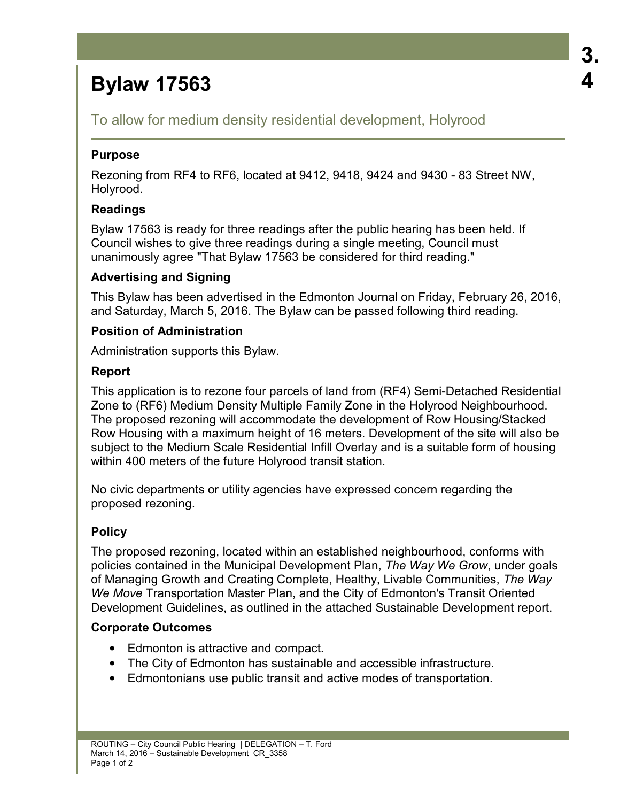# **Bylaw 17563**

To allow for medium density residential development, Holyrood

## **Purpose**

Rezoning from RF4 to RF6, located at 9412, 9418, 9424 and 9430 - 83 Street NW, Holyrood.

# **Readings**

Bylaw 17563 is ready for three readings after the public hearing has been held. If Council wishes to give three readings during a single meeting, Council must unanimously agree "That Bylaw 17563 be considered for third reading."

# **Advertising and Signing**

This Bylaw has been advertised in the Edmonton Journal on Friday, February 26, 2016, and Saturday, March 5, 2016. The Bylaw can be passed following third reading.

### **Position of Administration**

Administration supports this Bylaw.

### **Report**

This application is to rezone four parcels of land from (RF4) Semi-Detached Residential Zone to (RF6) Medium Density Multiple Family Zone in the Holyrood Neighbourhood. The proposed rezoning will accommodate the development of Row Housing/Stacked Row Housing with a maximum height of 16 meters. Development of the site will also be subject to the Medium Scale Residential Infill Overlay and is a suitable form of housing within 400 meters of the future Holyrood transit station.

No civic departments or utility agencies have expressed concern regarding the proposed rezoning.

# **Policy**

The proposed rezoning, located within an established neighbourhood, conforms with policies contained in the Municipal Development Plan, *The Way We Grow*, under goals of Managing Growth and Creating Complete, Healthy, Livable Communities, *The Way We Move* Transportation Master Plan, and the City of Edmonton's Transit Oriented Development Guidelines, as outlined in the attached Sustainable Development report.

#### **Corporate Outcomes**

- Edmonton is attractive and compact.
- The City of Edmonton has sustainable and accessible infrastructure.
- Edmontonians use public transit and active modes of transportation.